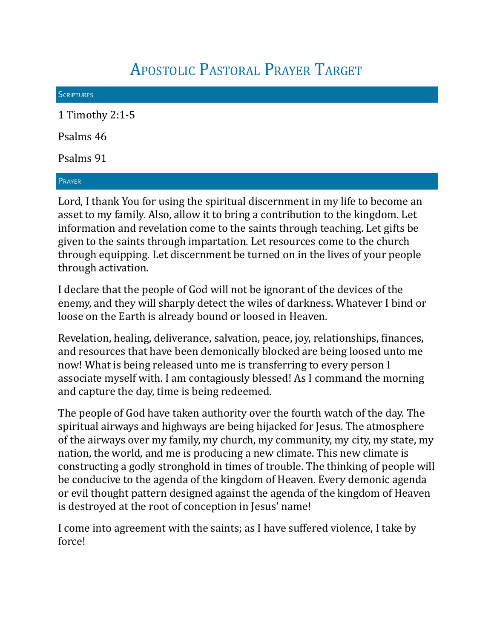## APOSTOLIC PASTORAL PRAYER TARGET

| <b>SCRIPTURES</b> |  |
|-------------------|--|
| 1 Timothy 2:1-5   |  |
| Psalms 46         |  |
| Psalms 91         |  |
| PRAYER            |  |

Lord, I thank You for using the spiritual discernment in my life to become an asset to my family. Also, allow it to bring a contribution to the kingdom. Let information and revelation come to the saints through teaching. Let gifts be given to the saints through impartation. Let resources come to the church through equipping. Let discernment be turned on in the lives of your people through activation.

I declare that the people of God will not be ignorant of the devices of the enemy, and they will sharply detect the wiles of darkness. Whatever I bind or loose on the Earth is already bound or loosed in Heaven.

Revelation, healing, deliverance, salvation, peace, joy, relationships, inances, and resources that have been demonically blocked are being loosed unto me now! What is being released unto me is transferring to every person I associate myself with. I am contagiously blessed! As I command the morning and capture the day, time is being redeemed.

The people of God have taken authority over the fourth watch of the day. The spiritual airways and highways are being hijacked for Jesus. The atmosphere of the airways over my family, my church, my community, my city, my state, my nation, the world, and me is producing a new climate. This new climate is constructing a godly stronghold in times of trouble. The thinking of people will be conducive to the agenda of the kingdom of Heaven. Every demonic agenda or evil thought pattern designed against the agenda of the kingdom of Heaven is destroyed at the root of conception in Jesus' name!

I come into agreement with the saints; as I have suffered violence, I take by force!